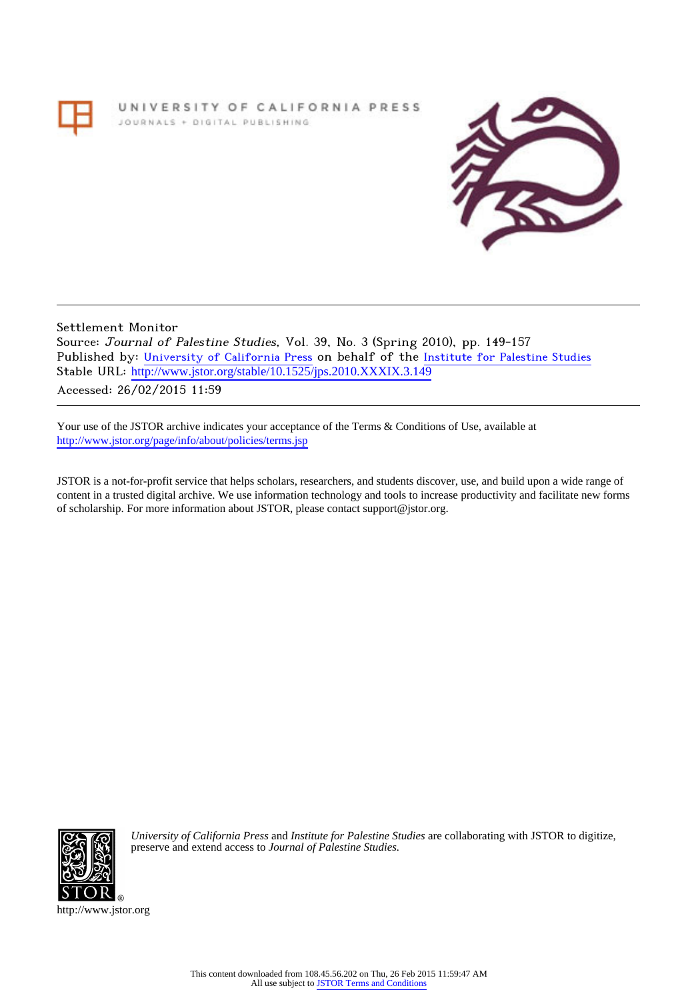# UNIVERSITY OF CALIFORNIA PRESS JOURNALS + DIGITAL PUBLISHING



Settlement Monitor Source: Journal of Palestine Studies, Vol. 39, No. 3 (Spring 2010), pp. 149-157 Published by: [University of California Press](http://www.jstor.org/action/showPublisher?publisherCode=ucal) on behalf of the [Institute for Palestine Studies](http://www.jstor.org/action/showPublisher?publisherCode=palstud) Stable URL: http://www.jstor.org/stable/10.1525/jps.2010.XXXIX.3.149 Accessed: 26/02/2015 11:59

Your use of the JSTOR archive indicates your acceptance of the Terms & Conditions of Use, available at <http://www.jstor.org/page/info/about/policies/terms.jsp>

JSTOR is a not-for-profit service that helps scholars, researchers, and students discover, use, and build upon a wide range of content in a trusted digital archive. We use information technology and tools to increase productivity and facilitate new forms of scholarship. For more information about JSTOR, please contact support@jstor.org.



*University of California Press* and *Institute for Palestine Studies* are collaborating with JSTOR to digitize, preserve and extend access to *Journal of Palestine Studies.*

http://www.jstor.org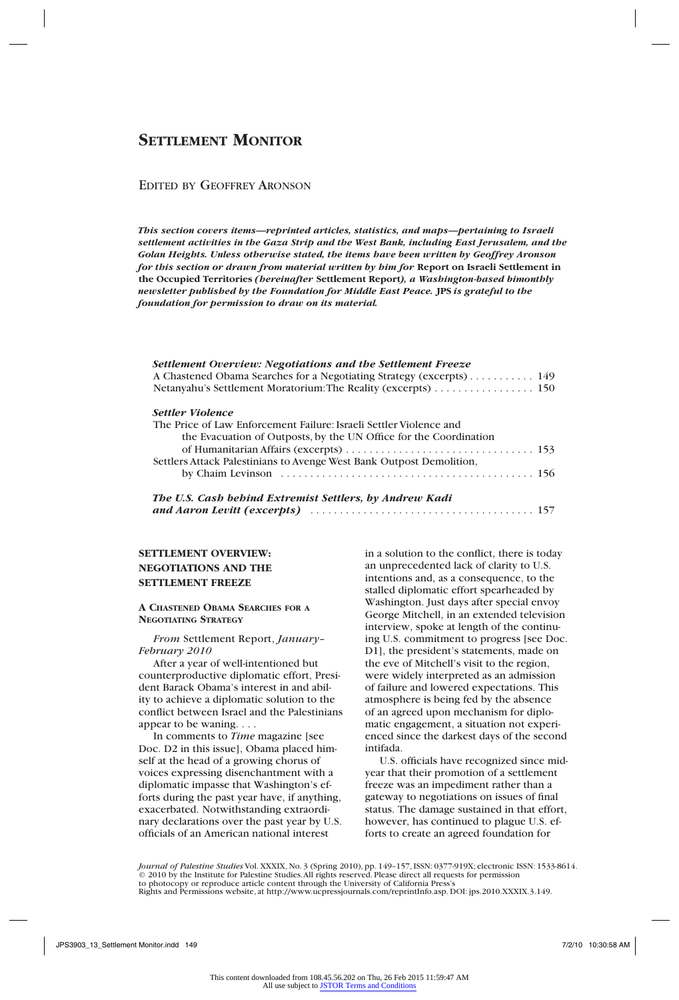# EDITED BY GEOFFREY ARONSON

*This section covers items—reprinted articles, statistics, and maps—pertaining to Israeli settlement activities in the Gaza Strip and the West Bank, including East Jerusalem, and the Golan Heights. Unless otherwise stated, the items have been written by Geoffrey Aronson for this section or drawn from material written by him for* **Report on Israeli Settlement in the Occupied Territories** *(hereinafter* **Settlement Report***), a Washington-based bimonthly newsletter published by the Foundation for Middle East Peace.* **JPS** *is grateful to the foundation for permission to draw on its material.*

| Settlement Overview: Negotiations and the Settlement Freeze          |
|----------------------------------------------------------------------|
| A Chastened Obama Searches for a Negotiating Strategy (excerpts) 149 |
| Netanyahu's Settlement Moratorium: The Reality (excerpts) 150        |
| <b>Settler Violence</b>                                              |
| The Price of Law Enforcement Failure: Israeli Settler Violence and   |
| the Evacuation of Outposts, by the UN Office for the Coordination    |
|                                                                      |
| Settlers Attack Palestinians to Avenge West Bank Outpost Demolition, |
|                                                                      |
|                                                                      |
| The U.S. Cash behind Extremist Settlers, by Andrew Kadi              |

| The U.S. Cash behind Extremist Settlers, by Anarew Kaar |  |
|---------------------------------------------------------|--|
|                                                         |  |

# **Settlement overview: Negotiations and the settlement freeze**

### **A Chastened Obama Searches for a Negotiating Strategy**

*From* Settlement Report, *January– February 2010*

After a year of well-intentioned but counterproductive diplomatic effort, President Barack Obama's interest in and ability to achieve a diplomatic solution to the conflict between Israel and the Palestinians appear to be waning. . . .

In comments to *Time* magazine [see Doc. D2 in this issue], Obama placed himself at the head of a growing chorus of voices expressing disenchantment with a diplomatic impasse that Washington's efforts during the past year have, if anything, exacerbated. Notwithstanding extraordinary declarations over the past year by U.S. officials of an American national interest

in a solution to the conflict, there is today an unprecedented lack of clarity to U.S. intentions and, as a consequence, to the stalled diplomatic effort spearheaded by Washington. Just days after special envoy George Mitchell, in an extended television interview, spoke at length of the continuing U.S. commitment to progress [see Doc. D1], the president's statements, made on the eve of Mitchell's visit to the region, were widely interpreted as an admission of failure and lowered expectations. This atmosphere is being fed by the absence of an agreed upon mechanism for diplomatic engagement, a situation not experienced since the darkest days of the second intifada.

U.S. officials have recognized since midyear that their promotion of a settlement freeze was an impediment rather than a gateway to negotiations on issues of final status. The damage sustained in that effort, however, has continued to plague U.S. efforts to create an agreed foundation for

*Journal of Palestine Studies* Vol. XXXIX, No. 3 (Spring 2010), pp. 149–157, ISSN: 0377-919X; electronic ISSN: 1533-8614. © 2010 by the Institute for Palestine Studies. All rights reserved. Please direct all requests for permission to photocopy or reproduce article content through the University of California Press's Rights and Permissions website, at http://www.ucpressjournals.com/reprintInfo.asp. DOI: jps.2010.XXXIX.3.149.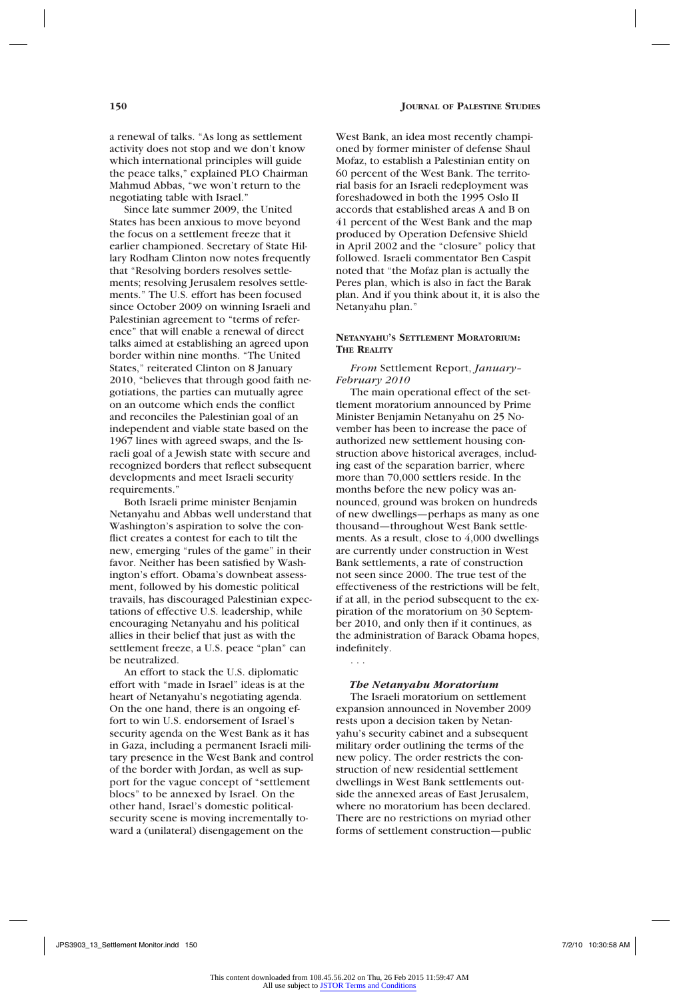Since late summer 2009, the United States has been anxious to move beyond the focus on a settlement freeze that it earlier championed. Secretary of State Hillary Rodham Clinton now notes frequently that "Resolving borders resolves settlements; resolving Jerusalem resolves settlements." The U.S. effort has been focused since October 2009 on winning Israeli and Palestinian agreement to "terms of reference" that will enable a renewal of direct talks aimed at establishing an agreed upon border within nine months. "The United States," reiterated Clinton on 8 January 2010, "believes that through good faith negotiations, the parties can mutually agree on an outcome which ends the conflict and reconciles the Palestinian goal of an independent and viable state based on the 1967 lines with agreed swaps, and the Israeli goal of a Jewish state with secure and recognized borders that reflect subsequent developments and meet Israeli security requirements."

Both Israeli prime minister Benjamin Netanyahu and Abbas well understand that Washington's aspiration to solve the conflict creates a contest for each to tilt the new, emerging "rules of the game" in their favor. Neither has been satisfied by Washington's effort. Obama's downbeat assessment, followed by his domestic political travails, has discouraged Palestinian expectations of effective U.S. leadership, while encouraging Netanyahu and his political allies in their belief that just as with the settlement freeze, a U.S. peace "plan" can be neutralized.

An effort to stack the U.S. diplomatic effort with "made in Israel" ideas is at the heart of Netanyahu's negotiating agenda. On the one hand, there is an ongoing effort to win U.S. endorsement of Israel's security agenda on the West Bank as it has in Gaza, including a permanent Israeli military presence in the West Bank and control of the border with Jordan, as well as support for the vague concept of "settlement blocs" to be annexed by Israel. On the other hand, Israel's domestic politicalsecurity scene is moving incrementally toward a (unilateral) disengagement on the

West Bank, an idea most recently championed by former minister of defense Shaul Mofaz, to establish a Palestinian entity on 60 percent of the West Bank. The territorial basis for an Israeli redeployment was foreshadowed in both the 1995 Oslo II accords that established areas A and B on 41 percent of the West Bank and the map produced by Operation Defensive Shield in April 2002 and the "closure" policy that followed. Israeli commentator Ben Caspit noted that "the Mofaz plan is actually the Peres plan, which is also in fact the Barak plan. And if you think about it, it is also the Netanyahu plan."

### **Netanyahu's Settlement Moratorium: The Reality**

*From* Settlement Report, *January– February 2010*

The main operational effect of the settlement moratorium announced by Prime Minister Benjamin Netanyahu on 25 November has been to increase the pace of authorized new settlement housing construction above historical averages, including east of the separation barrier, where more than 70,000 settlers reside. In the months before the new policy was announced, ground was broken on hundreds of new dwellings—perhaps as many as one thousand—throughout West Bank settlements. As a result, close to 4,000 dwellings are currently under construction in West Bank settlements, a rate of construction not seen since 2000. The true test of the effectiveness of the restrictions will be felt, if at all, in the period subsequent to the expiration of the moratorium on 30 September 2010, and only then if it continues, as the administration of Barack Obama hopes, indefinitely.

# *The Netanyahu Moratorium*

. . .

The Israeli moratorium on settlement expansion announced in November 2009 rests upon a decision taken by Netanyahu's security cabinet and a subsequent military order outlining the terms of the new policy. The order restricts the construction of new residential settlement dwellings in West Bank settlements outside the annexed areas of East Jerusalem, where no moratorium has been declared. There are no restrictions on myriad other forms of settlement construction—public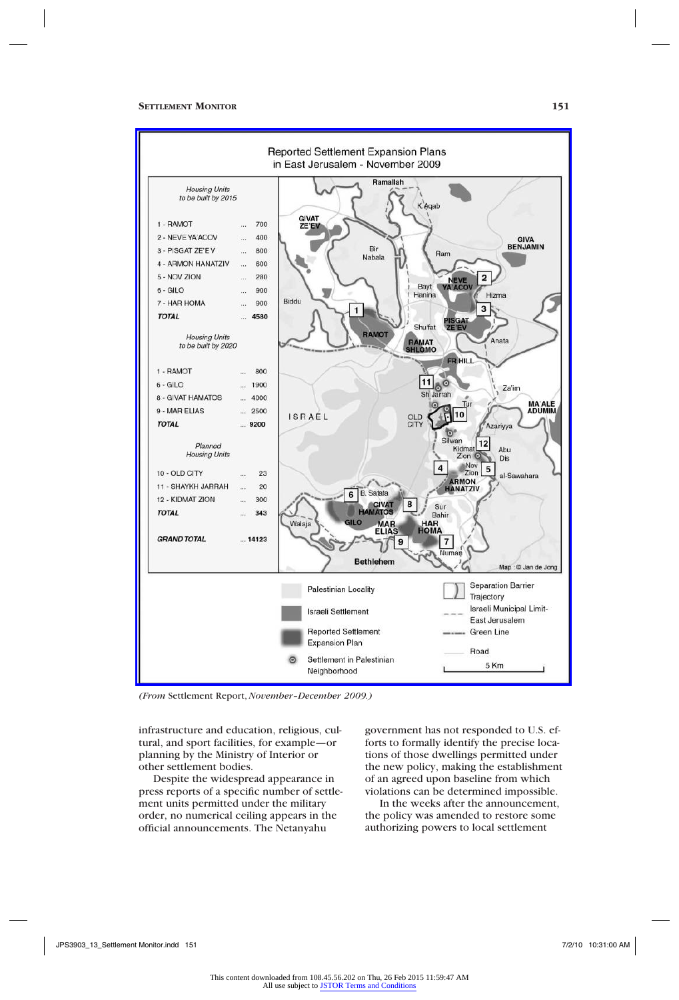

*(From* Settlement Report, *November–December 2009.)*

infrastructure and education, religious, cultural, and sport facilities, for example—or planning by the Ministry of Interior or other settlement bodies.

Despite the widespread appearance in press reports of a specific number of settlement units permitted under the military order, no numerical ceiling appears in the official announcements. The Netanyahu

government has not responded to U.S. efforts to formally identify the precise locations of those dwellings permitted under the new policy, making the establishment of an agreed upon baseline from which violations can be determined impossible.

In the weeks after the announcement, the policy was amended to restore some authorizing powers to local settlement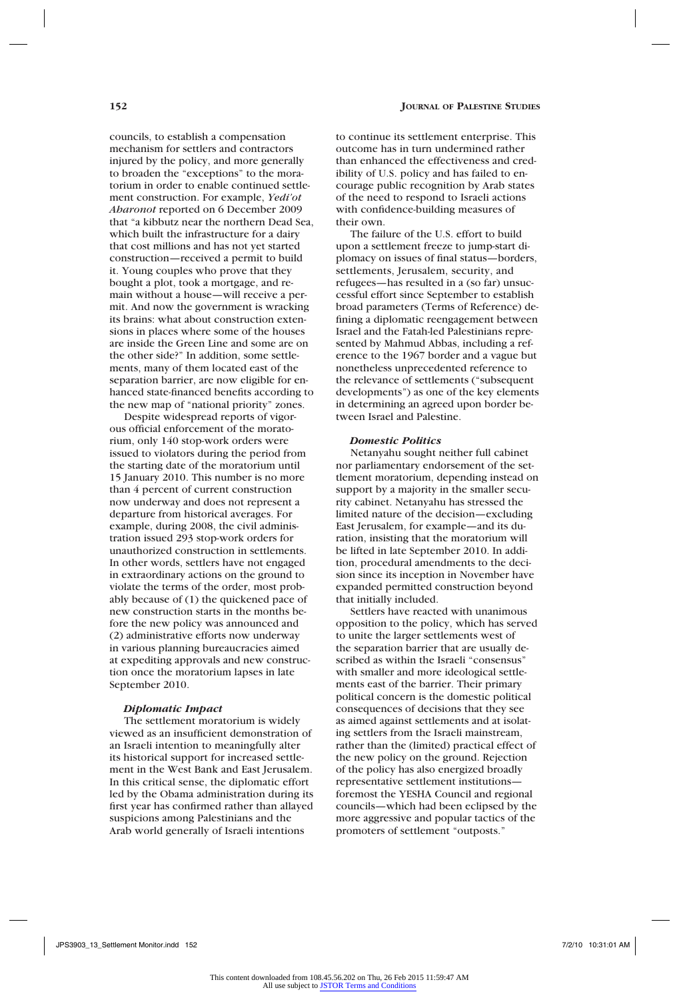councils, to establish a compensation mechanism for settlers and contractors injured by the policy, and more generally to broaden the "exceptions" to the moratorium in order to enable continued settlement construction. For example, *Yedi'ot Aharonot* reported on 6 December 2009 that "a kibbutz near the northern Dead Sea, which built the infrastructure for a dairy that cost millions and has not yet started construction—received a permit to build it. Young couples who prove that they bought a plot, took a mortgage, and remain without a house—will receive a permit. And now the government is wracking its brains: what about construction extensions in places where some of the houses are inside the Green Line and some are on the other side?" In addition, some settlements, many of them located east of the separation barrier, are now eligible for enhanced state-financed benefits according to the new map of "national priority" zones.

Despite widespread reports of vigorous official enforcement of the moratorium, only 140 stop-work orders were issued to violators during the period from the starting date of the moratorium until 15 January 2010. This number is no more than 4 percent of current construction now underway and does not represent a departure from historical averages. For example, during 2008, the civil administration issued 293 stop-work orders for unauthorized construction in settlements. In other words, settlers have not engaged in extraordinary actions on the ground to violate the terms of the order, most probably because of (1) the quickened pace of new construction starts in the months before the new policy was announced and (2) administrative efforts now underway in various planning bureaucracies aimed at expediting approvals and new construction once the moratorium lapses in late September 2010.

### *Diplomatic Impact*

The settlement moratorium is widely viewed as an insufficient demonstration of an Israeli intention to meaningfully alter its historical support for increased settlement in the West Bank and East Jerusalem. In this critical sense, the diplomatic effort led by the Obama administration during its first year has confirmed rather than allayed suspicions among Palestinians and the Arab world generally of Israeli intentions

to continue its settlement enterprise. This outcome has in turn undermined rather than enhanced the effectiveness and credibility of U.S. policy and has failed to encourage public recognition by Arab states of the need to respond to Israeli actions with confidence-building measures of their own.

The failure of the U.S. effort to build upon a settlement freeze to jump-start diplomacy on issues of final status—borders, settlements, Jerusalem, security, and refugees—has resulted in a (so far) unsuccessful effort since September to establish broad parameters (Terms of Reference) defining a diplomatic reengagement between Israel and the Fatah-led Palestinians represented by Mahmud Abbas, including a reference to the 1967 border and a vague but nonetheless unprecedented reference to the relevance of settlements ("subsequent developments") as one of the key elements in determining an agreed upon border between Israel and Palestine.

#### *Domestic Politics*

Netanyahu sought neither full cabinet nor parliamentary endorsement of the settlement moratorium, depending instead on support by a majority in the smaller security cabinet. Netanyahu has stressed the limited nature of the decision—excluding East Jerusalem, for example—and its duration, insisting that the moratorium will be lifted in late September 2010. In addition, procedural amendments to the decision since its inception in November have expanded permitted construction beyond that initially included.

Settlers have reacted with unanimous opposition to the policy, which has served to unite the larger settlements west of the separation barrier that are usually described as within the Israeli "consensus" with smaller and more ideological settlements east of the barrier. Their primary political concern is the domestic political consequences of decisions that they see as aimed against settlements and at isolating settlers from the Israeli mainstream, rather than the (limited) practical effect of the new policy on the ground. Rejection of the policy has also energized broadly representative settlement institutions foremost the YESHA Council and regional councils—which had been eclipsed by the more aggressive and popular tactics of the promoters of settlement "outposts."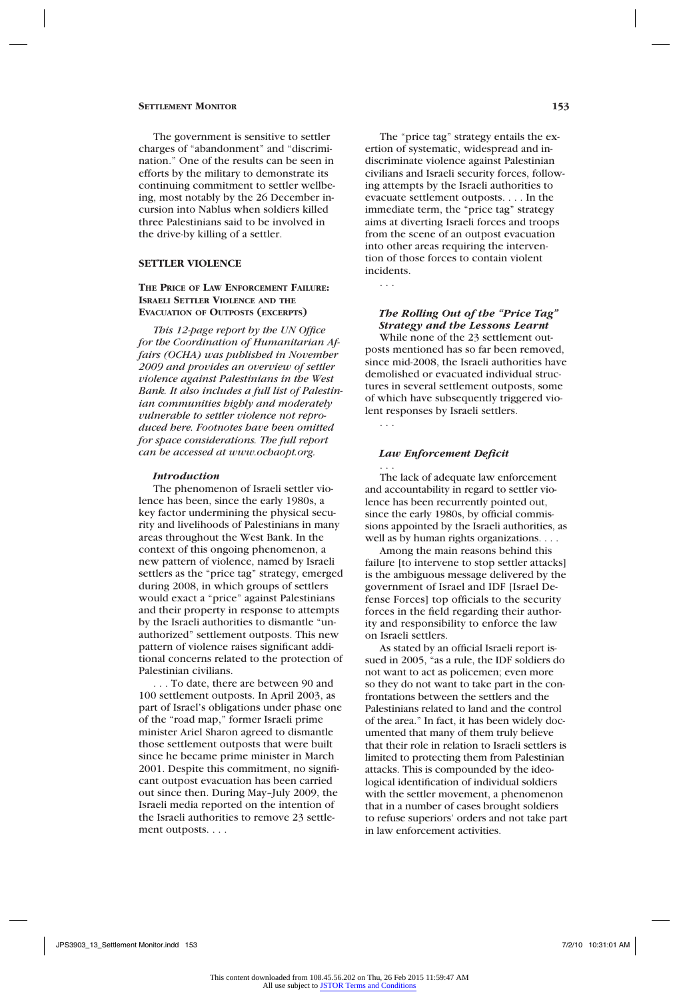The government is sensitive to settler charges of "abandonment" and "discrimination." One of the results can be seen in efforts by the military to demonstrate its continuing commitment to settler wellbeing, most notably by the 26 December incursion into Nablus when soldiers killed three Palestinians said to be involved in the drive-by killing of a settler.

## **Settler Violence**

#### **The Price of Law Enforcement Failure: Israeli Settler Violence and the Evacuation of Outposts (excerpts)**

*This 12-page report by the UN Office for the Coordination of Humanitarian Affairs (OCHA) was published in November 2009 and provides an overview of settler violence against Palestinians in the West Bank. It also includes a full list of Palestinian communities highly and moderately vulnerable to settler violence not reproduced here. Footnotes have been omitted for space considerations. The full report can be accessed at www.ochaopt.org.*

#### *Introduction*

The phenomenon of Israeli settler violence has been, since the early 1980s, a key factor undermining the physical security and livelihoods of Palestinians in many areas throughout the West Bank. In the context of this ongoing phenomenon, a new pattern of violence, named by Israeli settlers as the "price tag" strategy, emerged during 2008, in which groups of settlers would exact a "price" against Palestinians and their property in response to attempts by the Israeli authorities to dismantle "unauthorized" settlement outposts. This new pattern of violence raises significant additional concerns related to the protection of Palestinian civilians.

. . . To date, there are between 90 and 100 settlement outposts. In April 2003, as part of Israel's obligations under phase one of the "road map," former Israeli prime minister Ariel Sharon agreed to dismantle those settlement outposts that were built since he became prime minister in March 2001. Despite this commitment, no significant outpost evacuation has been carried out since then. During May–July 2009, the Israeli media reported on the intention of the Israeli authorities to remove 23 settlement outposts. . . .

The "price tag" strategy entails the exertion of systematic, widespread and indiscriminate violence against Palestinian civilians and Israeli security forces, following attempts by the Israeli authorities to evacuate settlement outposts. . . . In the immediate term, the "price tag" strategy aims at diverting Israeli forces and troops from the scene of an outpost evacuation into other areas requiring the intervention of those forces to contain violent incidents.

# *The Rolling Out of the "Price Tag" Strategy and the Lessons Learnt*

. . .

. . .

While none of the 23 settlement outposts mentioned has so far been removed, since mid-2008, the Israeli authorities have demolished or evacuated individual structures in several settlement outposts, some of which have subsequently triggered violent responses by Israeli settlers.

### *Law Enforcement Deficit*

. . . The lack of adequate law enforcement and accountability in regard to settler violence has been recurrently pointed out, since the early 1980s, by official commissions appointed by the Israeli authorities, as well as by human rights organizations. . . .

Among the main reasons behind this failure [to intervene to stop settler attacks] is the ambiguous message delivered by the government of Israel and IDF [Israel Defense Forces] top officials to the security forces in the field regarding their authority and responsibility to enforce the law on Israeli settlers.

As stated by an official Israeli report issued in 2005, "as a rule, the IDF soldiers do not want to act as policemen; even more so they do not want to take part in the confrontations between the settlers and the Palestinians related to land and the control of the area." In fact, it has been widely documented that many of them truly believe that their role in relation to Israeli settlers is limited to protecting them from Palestinian attacks. This is compounded by the ideological identification of individual soldiers with the settler movement, a phenomenon that in a number of cases brought soldiers to refuse superiors' orders and not take part in law enforcement activities.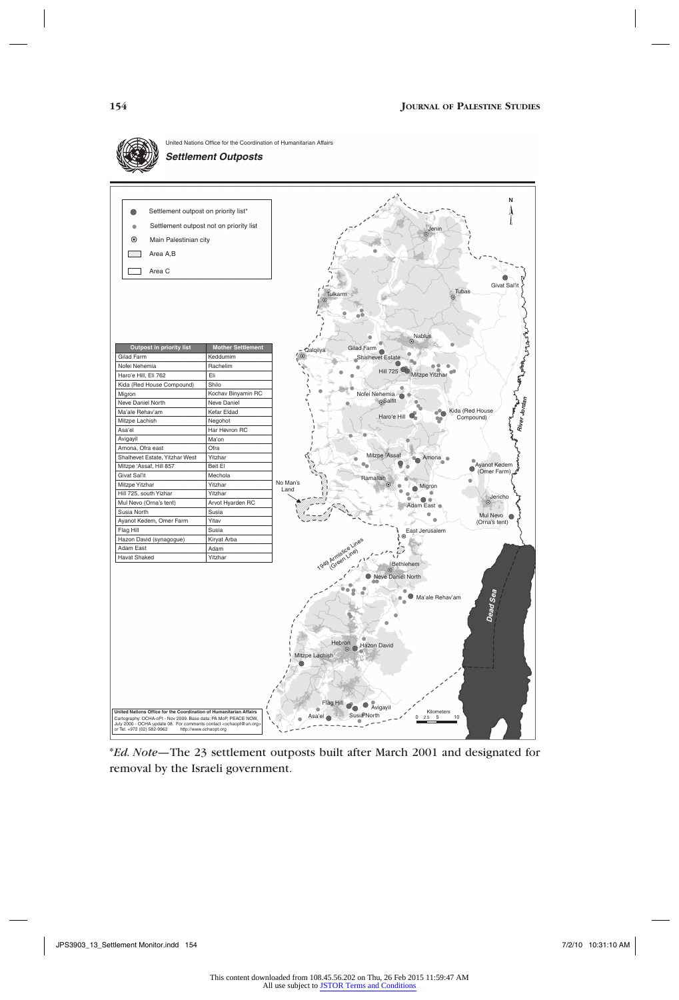

\**Ed. Note*—The 23 settlement outposts built after March 2001 and designated for removal by the Israeli government.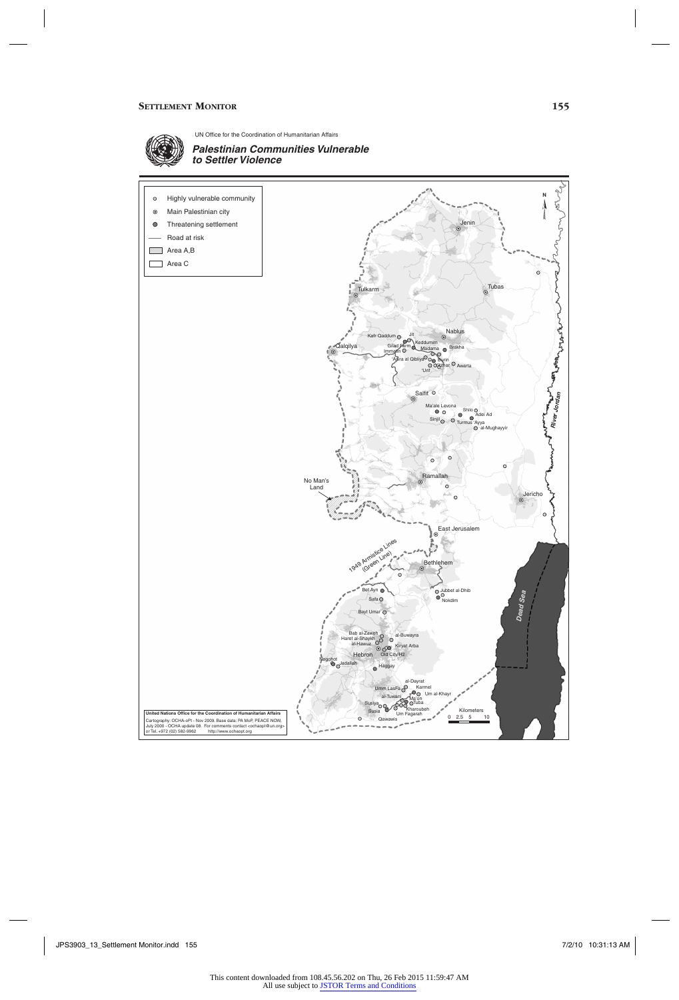

UN Office for the Coordination of Humanitarian Affairs



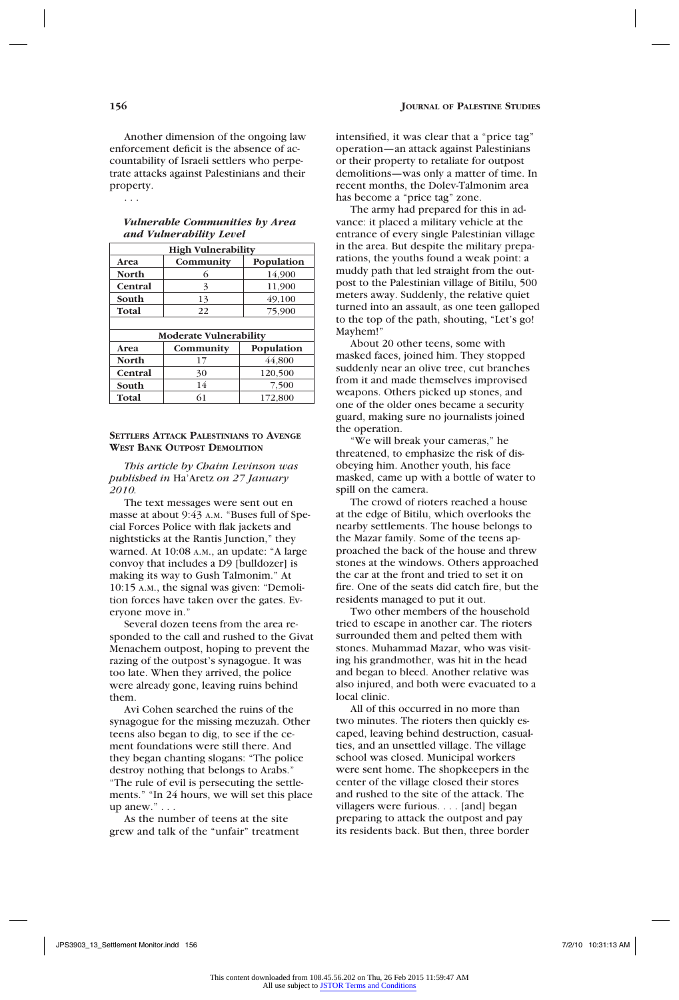Another dimension of the ongoing law enforcement deficit is the absence of accountability of Israeli settlers who perpetrate attacks against Palestinians and their property.

. . .

| <b>Vulnerable Communities by Area</b> |  |
|---------------------------------------|--|
| and Vulnerability Level               |  |

| <b>High Vulnerability</b>     |           |            |  |  |
|-------------------------------|-----------|------------|--|--|
| Area                          | Community | Population |  |  |
| <b>North</b>                  | 6         | 14.900     |  |  |
| Central                       | 3         | 11,900     |  |  |
| South                         | 13        | 49,100     |  |  |
| Total                         | 22        | 75,900     |  |  |
|                               |           |            |  |  |
| <b>Moderate Vulnerability</b> |           |            |  |  |
| Area                          | Community | Population |  |  |
| <b>North</b>                  | 17        | 44.800     |  |  |
| Central                       | 30        | 120,500    |  |  |
| South                         | 14        | 7,500      |  |  |
| Total                         | 61        | 172,800    |  |  |

### **Settlers Attack Palestinians to Avenge West Bank Outpost Demolition**

*This article by Chaim Levinson was published in* Ha'Aretz *on 27 January 2010.*

The text messages were sent out en masse at about 9:43 A.M. "Buses full of Special Forces Police with flak jackets and nightsticks at the Rantis Junction," they warned. At 10:08 a.m., an update: "A large convoy that includes a D9 [bulldozer] is making its way to Gush Talmonim." At 10:15 a.m., the signal was given: "Demolition forces have taken over the gates. Everyone move in."

Several dozen teens from the area responded to the call and rushed to the Givat Menachem outpost, hoping to prevent the razing of the outpost's synagogue. It was too late. When they arrived, the police were already gone, leaving ruins behind them.

Avi Cohen searched the ruins of the synagogue for the missing mezuzah. Other teens also began to dig, to see if the cement foundations were still there. And they began chanting slogans: "The police destroy nothing that belongs to Arabs." "The rule of evil is persecuting the settlements." "In 24 hours, we will set this place up anew." . . .

As the number of teens at the site grew and talk of the "unfair" treatment intensified, it was clear that a "price tag" operation—an attack against Palestinians or their property to retaliate for outpost demolitions—was only a matter of time. In recent months, the Dolev-Talmonim area has become a "price tag" zone.

The army had prepared for this in advance: it placed a military vehicle at the entrance of every single Palestinian village in the area. But despite the military preparations, the youths found a weak point: a muddy path that led straight from the outpost to the Palestinian village of Bitilu, 500 meters away. Suddenly, the relative quiet turned into an assault, as one teen galloped to the top of the path, shouting, "Let's go! Mayhem!

About 20 other teens, some with masked faces, joined him. They stopped suddenly near an olive tree, cut branches from it and made themselves improvised weapons. Others picked up stones, and one of the older ones became a security guard, making sure no journalists joined the operation.

"We will break your cameras," he threatened, to emphasize the risk of disobeying him. Another youth, his face masked, came up with a bottle of water to spill on the camera.

The crowd of rioters reached a house at the edge of Bitilu, which overlooks the nearby settlements. The house belongs to the Mazar family. Some of the teens approached the back of the house and threw stones at the windows. Others approached the car at the front and tried to set it on fire. One of the seats did catch fire, but the residents managed to put it out.

Two other members of the household tried to escape in another car. The rioters surrounded them and pelted them with stones. Muhammad Mazar, who was visiting his grandmother, was hit in the head and began to bleed. Another relative was also injured, and both were evacuated to a local clinic.

All of this occurred in no more than two minutes. The rioters then quickly escaped, leaving behind destruction, casualties, and an unsettled village. The village school was closed. Municipal workers were sent home. The shopkeepers in the center of the village closed their stores and rushed to the site of the attack. The villagers were furious. . . . [and] began preparing to attack the outpost and pay its residents back. But then, three border